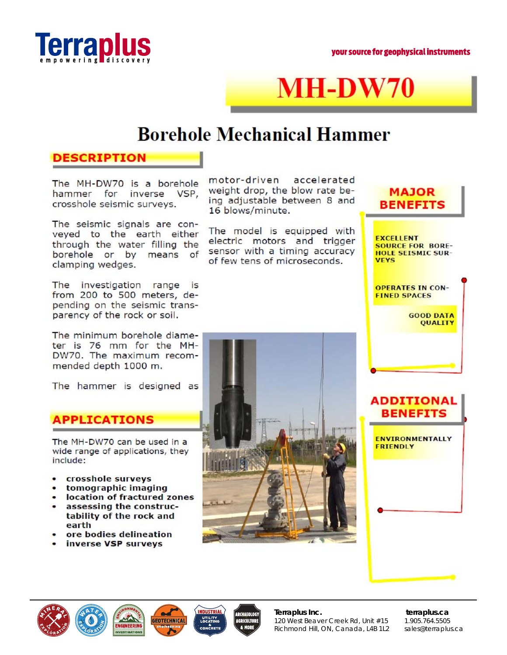

# **MH-DW70**

## **Borehole Mechanical Hammer**

#### **DESCRIPTION**

The MH-DW70 is a borehole<br>hammer for inverse VSP. inverse VSP, cross hole seismic surveys.

The seismic signals are conveyed to the earth either through the water Filling the borehole or by means of clamping wedges.

The investigation range is from 200 to SOO meters, depending on the seismic transparency of the rock or soil.

The minimum borehole diameter is 76 mm for the MH-DW70. The maximum recommended depth 1000 m.

The hammer is designed as

### **APPLICATIONS**

The MH-DW7O can be used In **a**  wide range of applications, they include:

- **cross hole surveys**  ٠
- **tomographic imaging**
- **location of fractured zones assessing the construc-**
- **tability of the rock and earth**
- **ore bodies delineation**
- **inverse vsp surveys**

motor-driven accelerated weight drop, the blow rate being adjustable between B and 16 blows/minute.

The model is equipped with electric motors and trigger sensor with a timing accuracy of few tens of microseconds.





**FXCElLFNT SOURCE FOR BORE-HOLE SEISMIC sun-VFYS** 

**OPERATES IN CON-FINED SPACES** 

> **GOOD DATA QUALITY**

## **ADDITIONAL II BENEFITS**

**-: . 't** 

**ENVIRONMENTALLY FRIENDLY** 

\*J **.** 







*1* **I** \ **AR(lllEol06y AGRICULTUR a MORE** 

**Terraplus Inc. terraplus.ca**  120 West Beaver Creek Rd, Unit #15 1.905.764.5505 Richmond Hill, ON, Canada, L4B 1L2 sales@terraplus.ca